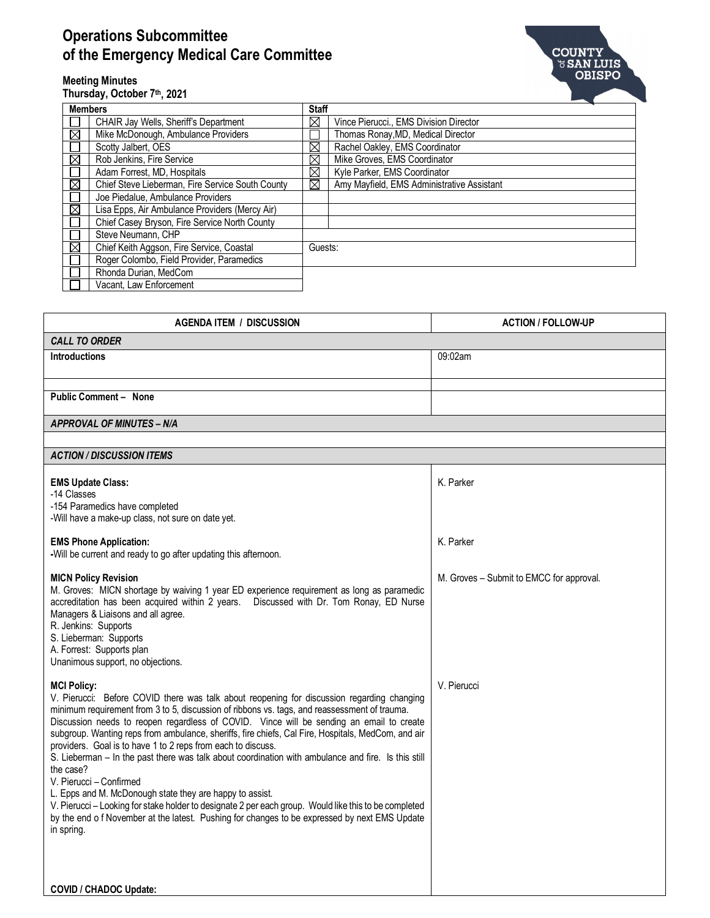## **Operations Subcommittee of the Emergency Medical Care Committee**



## **Meeting Minutes**

**Thursday, October 7th, 2021**

| <b>Members</b> |                                                  | <b>Staff</b> |                                            |  |  |
|----------------|--------------------------------------------------|--------------|--------------------------------------------|--|--|
|                | <b>CHAIR Jay Wells, Sheriff's Department</b>     | $\boxtimes$  | Vince Pierucci., EMS Division Director     |  |  |
| $\boxtimes$    | Mike McDonough, Ambulance Providers              |              | Thomas Ronay, MD, Medical Director         |  |  |
|                | Scotty Jalbert, OES                              | $\boxtimes$  | Rachel Oakley, EMS Coordinator             |  |  |
| ⊠              | Rob Jenkins, Fire Service                        | $\boxtimes$  | Mike Groves, EMS Coordinator               |  |  |
|                | Adam Forrest, MD, Hospitals                      | $\boxtimes$  | Kyle Parker, EMS Coordinator               |  |  |
| ⊠              | Chief Steve Lieberman, Fire Service South County | $\boxtimes$  | Amy Mayfield, EMS Administrative Assistant |  |  |
|                | Joe Piedalue, Ambulance Providers                |              |                                            |  |  |
| $\boxtimes$    | Lisa Epps, Air Ambulance Providers (Mercy Air)   |              |                                            |  |  |
|                | Chief Casey Bryson, Fire Service North County    |              |                                            |  |  |
|                | Steve Neumann, CHP                               |              |                                            |  |  |
| $\boxtimes$    | Chief Keith Aggson, Fire Service, Coastal        |              | Guests:                                    |  |  |
|                | Roger Colombo, Field Provider, Paramedics        |              |                                            |  |  |
|                | Rhonda Durian, MedCom                            |              |                                            |  |  |
|                | Vacant. Law Enforcement                          |              |                                            |  |  |

| <b>AGENDA ITEM / DISCUSSION</b>  | <b>ACTION / FOLLOW-UP</b> |  |  |  |  |
|----------------------------------|---------------------------|--|--|--|--|
| <b>CALL TO ORDER</b>             |                           |  |  |  |  |
| <b>Introductions</b>             | 09:02am                   |  |  |  |  |
|                                  |                           |  |  |  |  |
|                                  |                           |  |  |  |  |
| <b>Public Comment - None</b>     |                           |  |  |  |  |
| <b>APPROVAL OF MINUTES - N/A</b> |                           |  |  |  |  |
|                                  |                           |  |  |  |  |
| <b>ACTION / DISCUSSION ITEMS</b> |                           |  |  |  |  |
|                                  |                           |  |  |  |  |
| <b>EMS Update Class:</b>         | K. Parker                 |  |  |  |  |
| -14 Classes                      |                           |  |  |  |  |
| -154 Peramedice have completed   |                           |  |  |  |  |

K. Parker

-154 Paramedics have completed

-Will have a make-up class, not sure on date yet.

## **EMS Phone Application:**

## **-**Will be current and ready to go after updating this afternoon. **MICN Policy Revision** M. Groves: MICN shortage by waiving 1 year ED experience requirement as long as paramedic accreditation has been acquired within 2 years. Discussed with Dr. Tom Ronay, ED Nurse Managers & Liaisons and all agree. R. Jenkins: Supports S. Lieberman: Supports A. Forrest: Supports plan Unanimous support, no objections. **MCI Policy:** V. Pierucci: Before COVID there was talk about reopening for discussion regarding changing M. Groves – Submit to EMCC for approval. V. Pierucci

minimum requirement from 3 to 5, discussion of ribbons vs. tags, and reassessment of trauma. Discussion needs to reopen regardless of COVID. Vince will be sending an email to create subgroup. Wanting reps from ambulance, sheriffs, fire chiefs, Cal Fire, Hospitals, MedCom, and air providers. Goal is to have 1 to 2 reps from each to discuss. S. Lieberman – In the past there was talk about coordination with ambulance and fire. Is this still the case? V. Pierucci – Confirmed L. Epps and M. McDonough state they are happy to assist. V. Pierucci – Looking for stake holder to designate 2 per each group. Would like this to be completed by the end o f November at the latest. Pushing for changes to be expressed by next EMS Update

in spring.